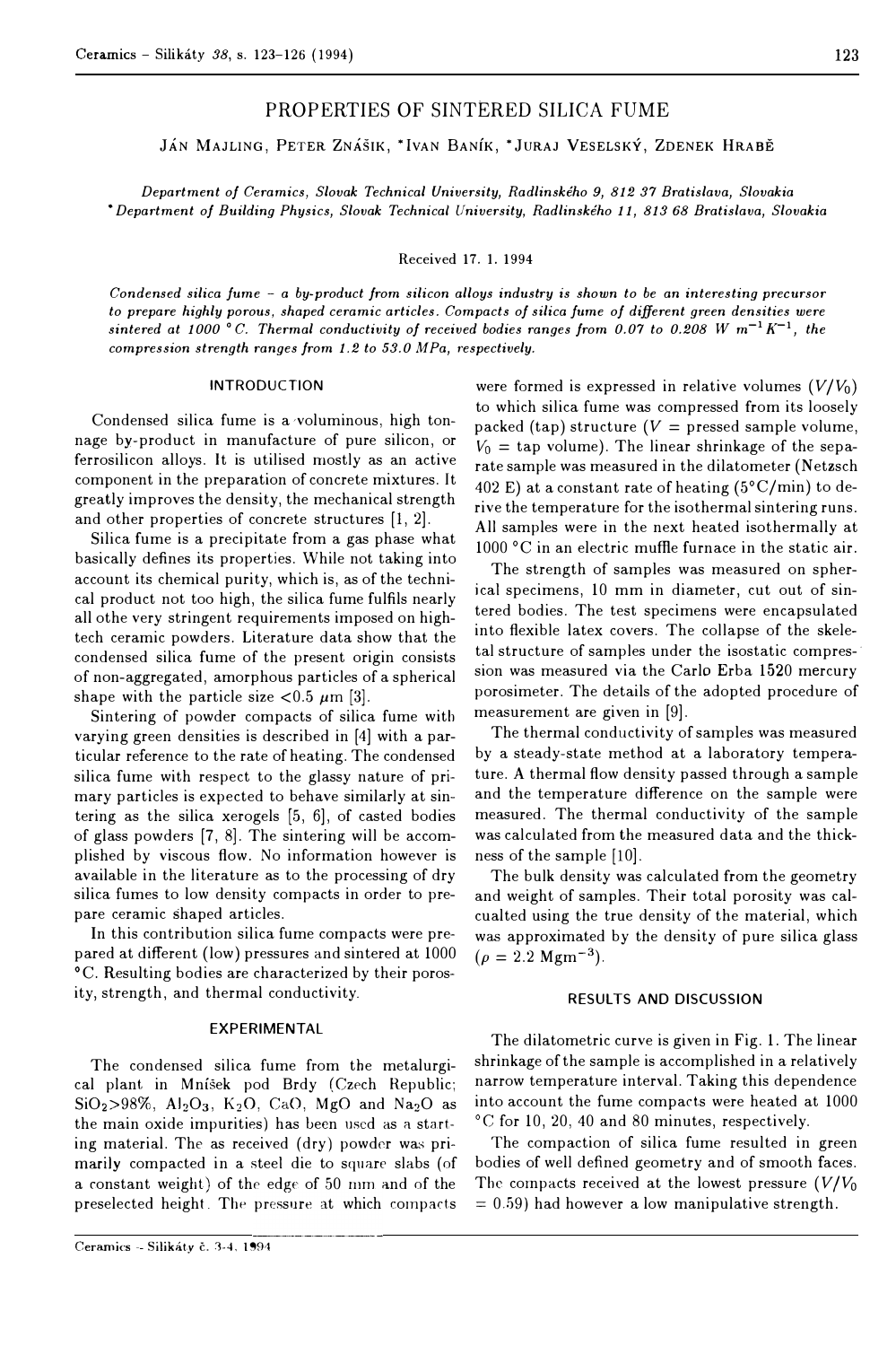# PROPERTIES OF SINTERED SILICA FUME

JÁN MAJLING, PETER ZNÁŠIK, \*IVAN BANÍK, \*JURAJ VESELSKÝ, ZDENEK HRABĚ

*Department of Ceramics, Slovak Technical University, Radlinského 9, 812 37 Bratislava, Slovakia*  • *Department of Building Physics, Slovak Technical University, Radlinského 11, 813 68 Bratislava, Slovakia*

Received 17. I. 1994

*Condensed silica fume - a by-product from silicon alloys industry is shown to be an interesting precursor to prepare highly porous, shaped ceramic articles. Compacts of silica /ume of different green densities were*  sintered at 1000 °C. Thermal conductivity of received bodies ranges from 0.07 to 0.208 W  $m^{-1}K^{-1}$ , the *compression strength ranges from 1.2 to 53.0 MPa, respectively.* 

#### INTRODUCTION

Condensed silica fume is a ·voluminous, high tonnage by-product in manufacture of pure silicon, or ferrosilicon alloys. It is utilised mostly as an active component in the preparation of concrete mixtures. It greatly improves the density, the mechanical strength and other properties of concrete structures [l, 2].

Silica fume is a precipitate from a gas phase what basically defines its properties. While not taking into account its chemical purity, which is, as of the technical product not too high, the silica fume fulfils nearly all othe very stringent requirements imposed on hightech ceramic powders. Literature data show that the condensed silica fume of the present origin consists of non-aggregated, amorphous particles of a spherical shape with the particle size  $< 0.5 \mu m$  [3].

Sintering of powder compacts of silica fume with varying green densities is described in [4] with a particular reference to the rate of heating. The condensed silica fume with respect to the glassy nature of primary particles is expected to behave similarly at sintering as the silica xerogels [5, 6], of casted bodies of glass powders [7, 8]. The sintering will be accomplished by viscous flow. No information however is available in the literature as to the processing of dry silica fumes to low density compacts in order to prepare ceramic shaped articles.

In this contribution silica fume compacts were prepared at different (low) pressures and sintered at 1000 °C. Resulting bodies are characterized by their porosity, strength, and thermal conductivity.

#### **EXPERIMENTAL**

The condensed silica fume from the metalurgical plant in Mníšek pod Brdy (Czech Republic;  $SiO<sub>2</sub> > 98\%, Al<sub>2</sub>O<sub>3</sub>, K<sub>2</sub>O, CaO, MgO and Na<sub>2</sub>O as$ the main oxide impurities) has been used as a starting material. The as received ( dry) powdcr was primarily compacted in a steel die to square slabs (of a constant weight) of the edge of 50 mm and of the preselected height. The pressure at which compacts

were formed is expressed in relative volumes  $(V/V_0)$ to which silica fume was compressed from its loosely packed (tap) structure  $(V =$  pressed sample volume,  $V_0$  = tap volume). The linear shrinkage of the separate sample was measured in the dilatometer (Netzsch 402 E) at a constant rate of heating  $(5^{\circ}C/min)$  to derive the temperature for the isothermal sintering runs. Ali samples were in the next heated isothermally at 1000 °C in an electric muffle furnace in the static air.

The strength of samples was measured on spherical specimens, 10 mm in diameter, cut out of sintered bodies. The test specimens were encapsulated into flexible latex covers. The collapse of the skeletal structure of samples under the isostatic compression was measured via the Carlo Erba 1520 mercury porosimeter. The details of the adopted procedure of measurement are given in [9].

The thermal conductivity of samples was measured by a steady-state method at a laboratory temperature. A thermal flow density passed through a sample and the temperature difference on the sample were measured. The thermal conductivity of the sample was calculated from the measured data and the thickness of the sample [10].

The bulk density was calculated from the geometry and weight of samples. Their total porosity was calcualted using the true density of the material, which was approximated by the density of pure silica glass was approximated<br>( $\rho = 2.2$  Mgm<sup>-3</sup>).

### **RESUL TS AND DISCUSSION**

The dilatometric curve is given in Fig. 1. The linear shrinkage of the sample is accomplished in a relatively narrow temperature interval. Taking this dependence into account the fume compacts were heated at 1000 °C for 10, 20, 40 and 80 minutes, respectively.

The compaction of silica fume resulted in green bodies of well defined geometry and of smooth faces. The compacts received at the lowest pressure  $(V/V_0)$  $= 0.59$ ) had however a low manipulative strength.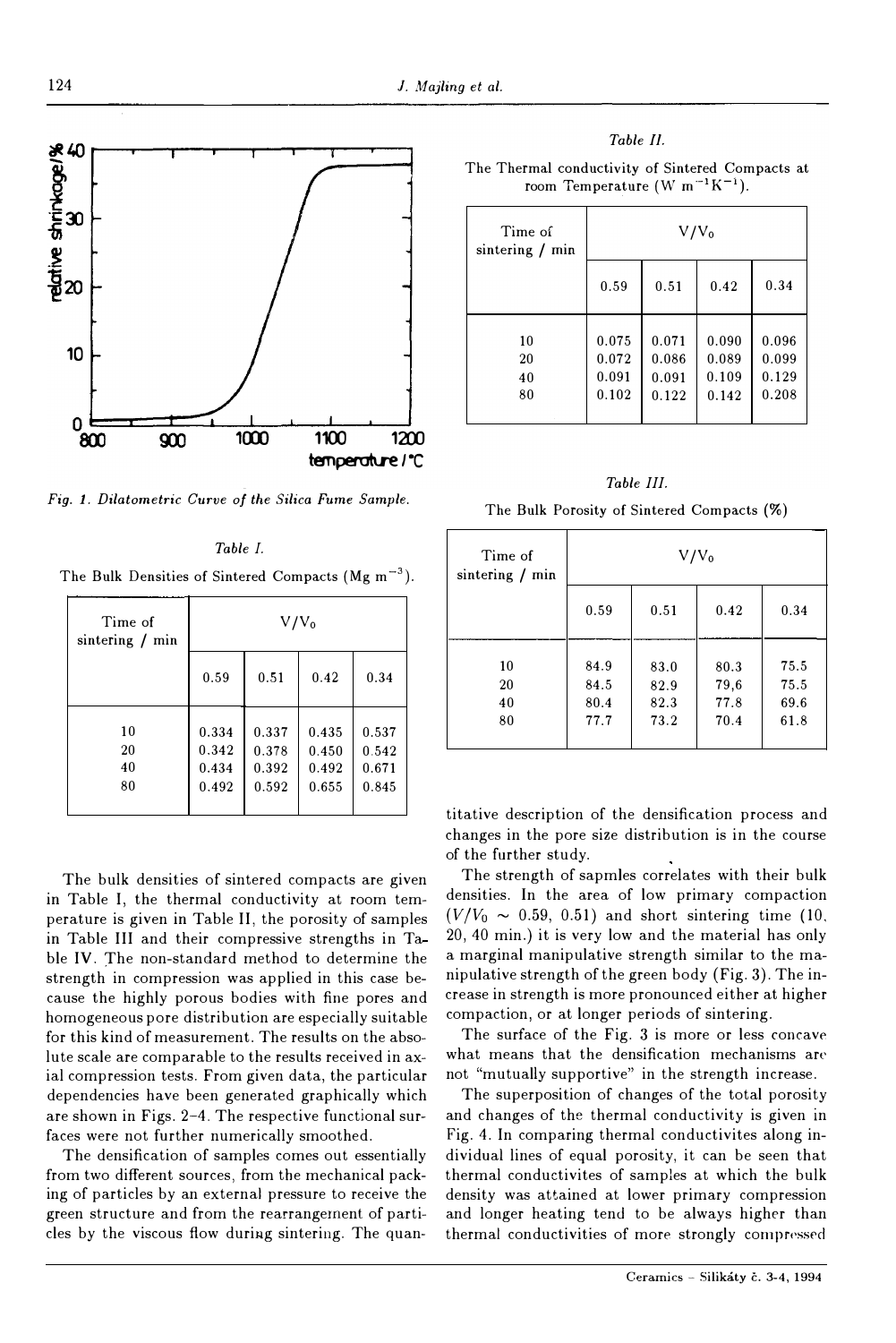

*Fig. 1. Dilatometric Curve of the Silica* Fume Sample.

*Table I.*  The Bulk Densities of Sintered Compacts (Mg  $m^{-3}$ ).

| Time of<br>sintering $/$ min | $V/V_0$                          |                                  |                                  |                                  |
|------------------------------|----------------------------------|----------------------------------|----------------------------------|----------------------------------|
|                              | 0.59                             | 0.51                             | 0.42                             | 0.34                             |
| 10<br>20<br>40<br>80         | 0.334<br>0.342<br>0.434<br>0.492 | 0.337<br>0.378<br>0.392<br>0.592 | 0.435<br>0.450<br>0.492<br>0.655 | 0.537<br>0.542<br>0.671<br>0.845 |

The bulk densities of sintered compacts are given **in** Tahle I, the thermal conductivity at room temperature is given **in** Tahle II, the porosity of samples **in** Tahle III and their compressive strengths in Ta hle IV. The non-standard method to determine the strength in compression was applied in this case because the highly porous bodies with fine pores and homogeneous pore distribution are especially suitable for this kind of measurement. The results on the absolute scale are comparable to the results received in axial compression tests. From given data, the particular dependencies have been generated graphically which are shown in Figs. 2-4. The respective functional surfaces were not further numerically smoothed.

The densification of samples comes out essentially from two different sources, from the mechanical packing of particles by an external pressure to receive the green structure and from the rearrangement of particles by the viscous flow during sintering. The quan-

| able |  |
|------|--|
|      |  |

The Thermal conductivity of Sintered Compacts at room Temperature (W m<sup>-1</sup>K<sup>-1</sup>).

| Time of<br>sintering $/min$ | $V/V_0$                          |                                  |                                  |                                  |
|-----------------------------|----------------------------------|----------------------------------|----------------------------------|----------------------------------|
|                             | 0.59                             | 0.51                             | 0.42                             | 0.34                             |
| 10<br>20<br>40<br>80        | 0.075<br>0.072<br>0.091<br>0.102 | 0.071<br>0.086<br>0.091<br>0.122 | 0.090<br>0.089<br>0.109<br>0.142 | 0.096<br>0.099<br>0.129<br>0.208 |

*Table III.* 

| Time of<br>sintering $/$ min | $V/V_0$                      |                              |                              |                              |
|------------------------------|------------------------------|------------------------------|------------------------------|------------------------------|
|                              | 0.59                         | 0.51                         | 0.42                         | 0.34                         |
| 10<br>20<br>40<br>80         | 84.9<br>84.5<br>80.4<br>77.7 | 83.0<br>82.9<br>82.3<br>73.2 | 80.3<br>79,6<br>77.8<br>70.4 | 75.5<br>75.5<br>69.6<br>61.8 |

titative description of the densification process and changes in the pore size distribution is in the course of the further study.

The strength of sapmles correlates with their bulk densities. ln the area of low primary compaction  $(V/V_0 \sim 0.59, 0.51)$  and short sintering time (10. 20, 40 min.) it is very low and the material has only a marginal manipulative strength similar to the manipulative strength of the green body (Fig. 3). The increase in strength is more pronounced either at higher compaction, or at longer periods of sintering.

The surface of the Fig. 3 is more or less concave what means that the densification mechanisms are not "mutually supportive" in the strength increase.

The superposition of changes of the total porosity and changes of the thermal conductivity is given in Fig. 4. In comparing thermal conductivites along individua! lines of equal porosity, it can be seen that thermal conductivites of samples at which the bulk density was attained at lower primary compression and longer heating tend to be always higher than thermal conductivities of more strongly compressed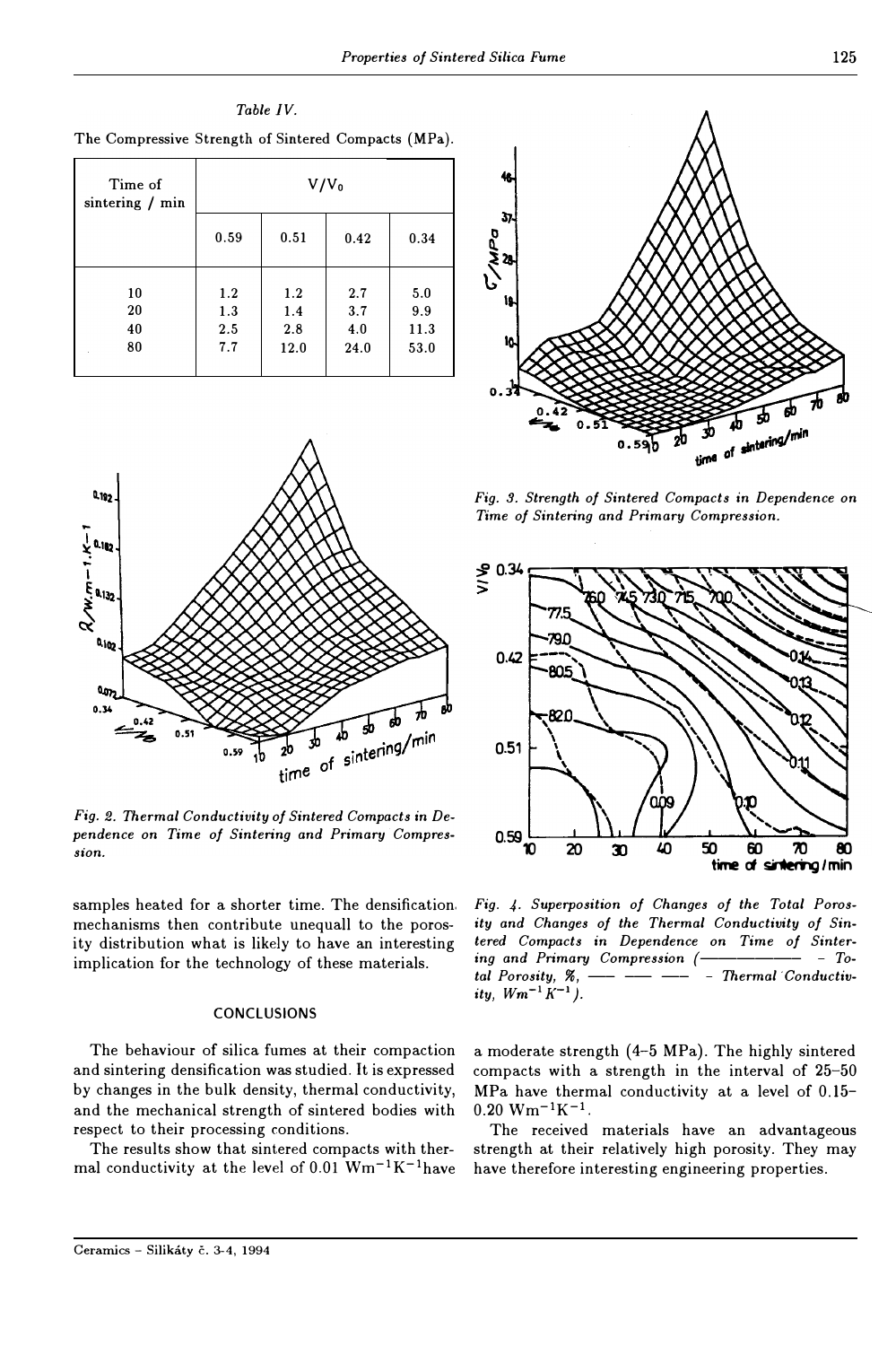Table IV. The Compressive Strength of Sintered Compacts (MPa).  $V/V_0$ Time of sintering / min 0.59  $0.51$  $0.42$ 0.34 10  $1.2$  $5.0$  $1.2$  $2.7$ 20  $1.3$  $1.4$  $3.7$ 9.9  $2.5$ 40  $2.8$  $4.0$ 11.3 80  $7.7$  $12.0$ 24.0 53.0



Fig. 2. Thermal Conductivity of Sintered Compacts in Dependence on Time of Sintering and Primary Compression.

samples heated for a shorter time. The densification. mechanisms then contribute unequall to the porosity distribution what is likely to have an interesting implication for the technology of these materials.

#### **CONCLUSIONS**

The behaviour of silica fumes at their compaction and sintering densification was studied. It is expressed by changes in the bulk density, thermal conductivity, and the mechanical strength of sintered bodies with respect to their processing conditions.

The results show that sintered compacts with thermal conductivity at the level of 0.01  $Wm^{-1}K^{-1}$ have



Fig. 3. Strength of Sintered Compacts in Dependence on Time of Sintering and Primary Compression.



Fig. 4. Superposition of Changes of the Total Porosity and Changes of the Thermal Conductivity of Sintered Compacts in Dependence on Time of Sintering and Primary Compression (- $-$  Total Porosity, %, - Thermal Conductivity,  $Wm^{-1}K^{-1}$ ).

a moderate strength (4-5 MPa). The highly sintered compacts with a strength in the interval of 25-50 MPa have thermal conductivity at a level of 0.15- $0.20 Wm^{-1}K^{-1}$ .

The received materials have an advantageous strength at their relatively high porosity. They may have therefore interesting engineering properties.